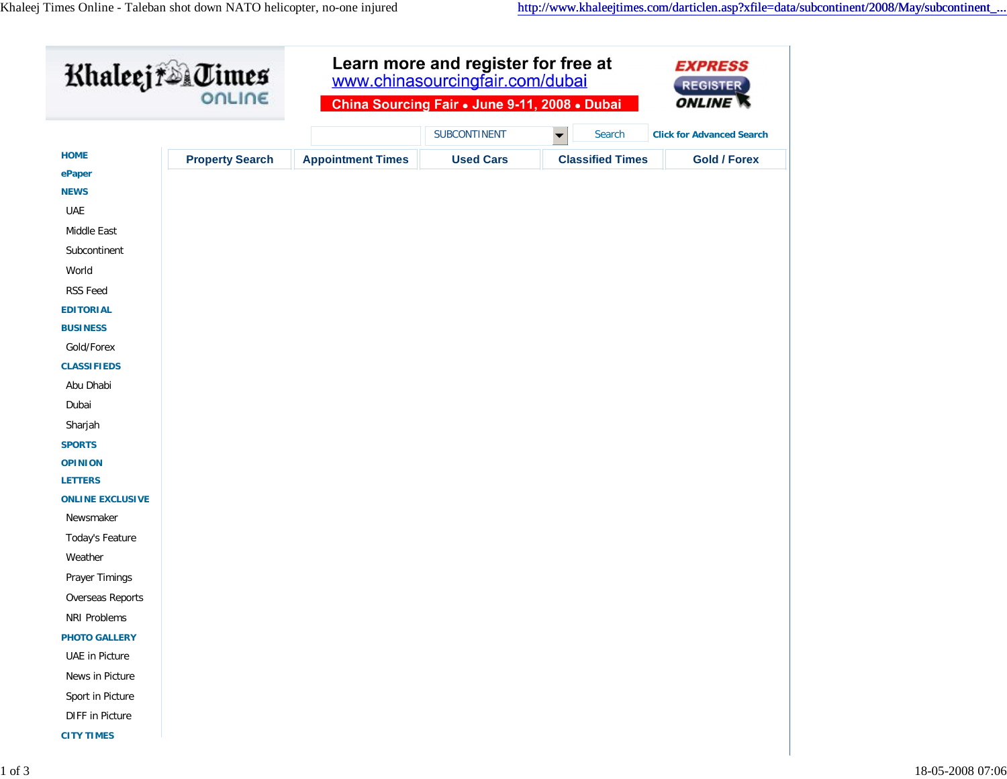| Khaleej & Uimes                  |                        | Learn more and register for free at<br>www.chinasourcingfair.com/dubai<br>China Sourcing Fair . June 9-11, 2008 . Dubai |                  |                                | <b>EXPRESS</b><br><b>REGISTER</b> |
|----------------------------------|------------------------|-------------------------------------------------------------------------------------------------------------------------|------------------|--------------------------------|-----------------------------------|
|                                  |                        |                                                                                                                         |                  |                                | <b>ONLINE</b>                     |
|                                  |                        |                                                                                                                         | SUBCONTINENT     | $\blacktriangledown$<br>Search | <b>Click for Advanced Search</b>  |
| <b>HOME</b>                      | <b>Property Search</b> | <b>Appointment Times</b>                                                                                                | <b>Used Cars</b> | <b>Classified Times</b>        | <b>Gold / Forex</b>               |
| ePaper                           |                        |                                                                                                                         |                  |                                |                                   |
| <b>NEWS</b>                      |                        |                                                                                                                         |                  |                                |                                   |
| UAE                              |                        |                                                                                                                         |                  |                                |                                   |
| Middle East                      |                        |                                                                                                                         |                  |                                |                                   |
| Subcontinent                     |                        |                                                                                                                         |                  |                                |                                   |
| World                            |                        |                                                                                                                         |                  |                                |                                   |
| RSS Feed                         |                        |                                                                                                                         |                  |                                |                                   |
| <b>EDITORIAL</b>                 |                        |                                                                                                                         |                  |                                |                                   |
| <b>BUSINESS</b>                  |                        |                                                                                                                         |                  |                                |                                   |
| Gold/Forex                       |                        |                                                                                                                         |                  |                                |                                   |
| <b>CLASSIFIEDS</b>               |                        |                                                                                                                         |                  |                                |                                   |
| Abu Dhabi                        |                        |                                                                                                                         |                  |                                |                                   |
| Dubai                            |                        |                                                                                                                         |                  |                                |                                   |
| Sharjah                          |                        |                                                                                                                         |                  |                                |                                   |
| <b>SPORTS</b>                    |                        |                                                                                                                         |                  |                                |                                   |
| <b>OPINION</b><br><b>LETTERS</b> |                        |                                                                                                                         |                  |                                |                                   |
| <b>ONLINE EXCLUSIVE</b>          |                        |                                                                                                                         |                  |                                |                                   |
| Newsmaker                        |                        |                                                                                                                         |                  |                                |                                   |
| Today's Feature                  |                        |                                                                                                                         |                  |                                |                                   |
| Weather                          |                        |                                                                                                                         |                  |                                |                                   |
| Prayer Timings                   |                        |                                                                                                                         |                  |                                |                                   |
| Overseas Reports                 |                        |                                                                                                                         |                  |                                |                                   |
| NRI Problems                     |                        |                                                                                                                         |                  |                                |                                   |
| <b>PHOTO GALLERY</b>             |                        |                                                                                                                         |                  |                                |                                   |
| <b>UAE</b> in Picture            |                        |                                                                                                                         |                  |                                |                                   |
| News in Picture                  |                        |                                                                                                                         |                  |                                |                                   |
| Sport in Picture                 |                        |                                                                                                                         |                  |                                |                                   |
| DIFF in Picture                  |                        |                                                                                                                         |                  |                                |                                   |
| <b>CITY TIMES</b>                |                        |                                                                                                                         |                  |                                |                                   |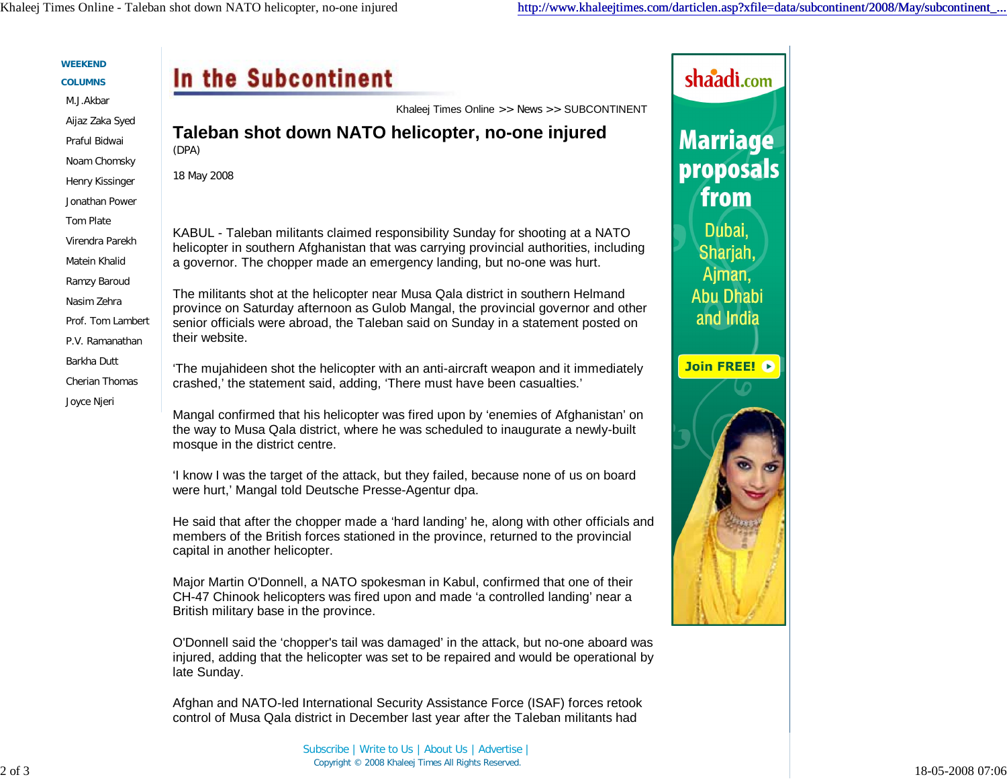| <b>COLUMNS</b>               | In the Subcontinent                                                                                                                                                                                              | shaadi.com       |
|------------------------------|------------------------------------------------------------------------------------------------------------------------------------------------------------------------------------------------------------------|------------------|
| M.J.Akbar                    | Khaleej Times Online >> News >> SUBCONTINENT                                                                                                                                                                     |                  |
| Aijaz Zaka Syed              | Taleban shot down NATO helicopter, no-one injured                                                                                                                                                                |                  |
| Praful Bidwai                | (DPA)                                                                                                                                                                                                            | <b>Marriage</b>  |
| Noam Chomsky                 | 18 May 2008                                                                                                                                                                                                      | proposals        |
| Henry Kissinger              |                                                                                                                                                                                                                  | from             |
| Jonathan Power               |                                                                                                                                                                                                                  |                  |
| Tom Plate<br>Virendra Parekh | KABUL - Taleban militants claimed responsibility Sunday for shooting at a NATO                                                                                                                                   | Dubai,           |
| Matein Khalid                | helicopter in southern Afghanistan that was carrying provincial authorities, including                                                                                                                           | Sharjah,         |
| Ramzy Baroud                 | a governor. The chopper made an emergency landing, but no-one was hurt.                                                                                                                                          | Ajman,           |
| Nasim Zehra                  | The militants shot at the helicopter near Musa Qala district in southern Helmand                                                                                                                                 | <b>Abu Dhabi</b> |
| Prof. Tom Lambert            | province on Saturday afternoon as Gulob Mangal, the provincial governor and other<br>senior officials were abroad, the Taleban said on Sunday in a statement posted on                                           | and India        |
| P.V. Ramanathan              | their website.                                                                                                                                                                                                   |                  |
| Barkha Dutt                  |                                                                                                                                                                                                                  | Join FREE!       |
| Cherian Thomas               | 'The mujahideen shot the helicopter with an anti-aircraft weapon and it immediately<br>crashed,' the statement said, adding, 'There must have been casualties.'                                                  |                  |
| Joyce Njeri                  |                                                                                                                                                                                                                  |                  |
|                              | Mangal confirmed that his helicopter was fired upon by 'enemies of Afghanistan' on<br>the way to Musa Qala district, where he was scheduled to inaugurate a newly-built<br>mosque in the district centre.        |                  |
|                              | 'I know I was the target of the attack, but they failed, because none of us on board<br>were hurt,' Mangal told Deutsche Presse-Agentur dpa.                                                                     |                  |
|                              | He said that after the chopper made a 'hard landing' he, along with other officials and<br>members of the British forces stationed in the province, returned to the provincial<br>capital in another helicopter. |                  |
|                              | Major Martin O'Donnell, a NATO spokesman in Kabul, confirmed that one of their<br>CH-47 Chinook helicopters was fired upon and made 'a controlled landing' near a<br>British military base in the province.      |                  |
|                              | O'Donnell said the 'chopper's tail was damaged' in the attack, but no-one aboard was<br>injured, adding that the helicopter was set to be repaired and would be operational by<br>late Sunday.                   |                  |
|                              | Afghan and NATO-led International Security Assistance Force (ISAF) forces retook<br>control of Musa Qala district in December last year after the Taleban militants had                                          |                  |